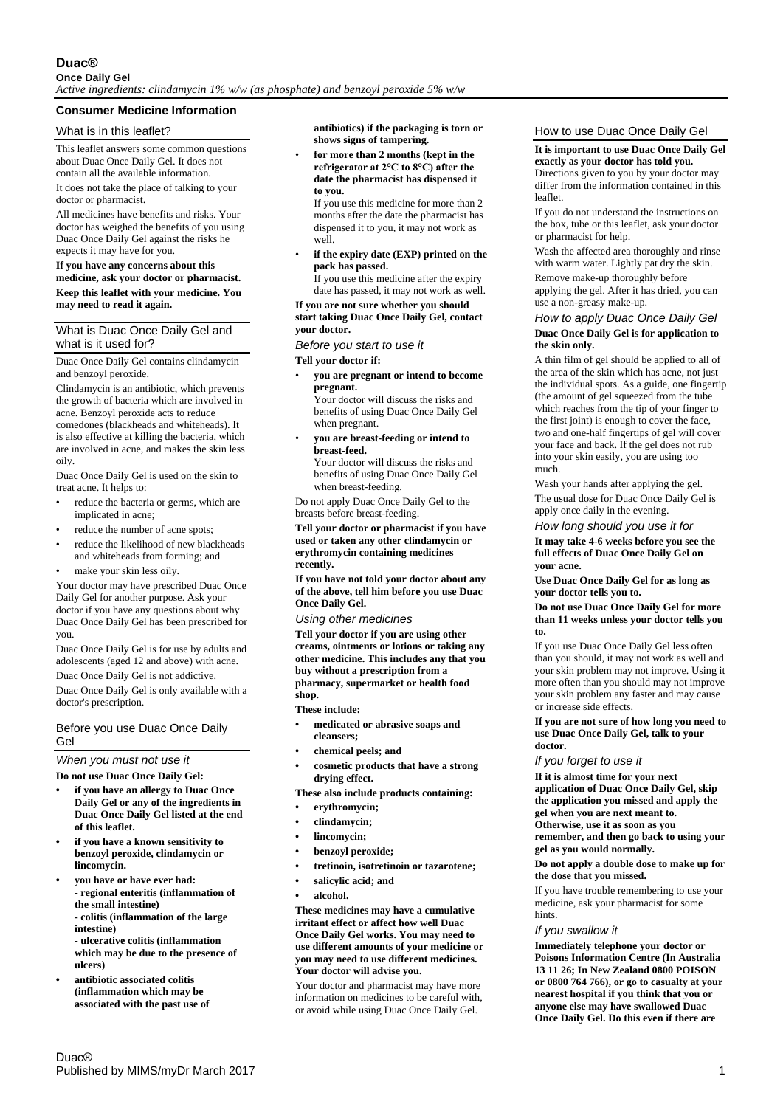# **Duac®**

# **Once Daily Gel**

*Active ingredients: clindamycin 1% w/w (as phosphate) and benzoyl peroxide 5% w/w*

# **Consumer Medicine Information**

## What is in this leaflet?

This leaflet answers some common questions about Duac Once Daily Gel. It does not contain all the available information.

It does not take the place of talking to your doctor or pharmacist.

All medicines have benefits and risks. Your doctor has weighed the benefits of you using Duac Once Daily Gel against the risks he expects it may have for you.

#### **If you have any concerns about this medicine, ask your doctor or pharmacist. Keep this leaflet with your medicine. You may need to read it again.**

## What is Duac Once Daily Gel and what is it used for?

Duac Once Daily Gel contains clindamycin and benzoyl peroxide.

Clindamycin is an antibiotic, which prevents the growth of bacteria which are involved in acne. Benzoyl peroxide acts to reduce comedones (blackheads and whiteheads). It is also effective at killing the bacteria, which are involved in acne, and makes the skin less oily.

Duac Once Daily Gel is used on the skin to treat acne. It helps to:

- reduce the bacteria or germs, which are implicated in acne;
- reduce the number of acne spots;
- reduce the likelihood of new blackheads and whiteheads from forming; and
- make your skin less oily.

Your doctor may have prescribed Duac Once Daily Gel for another purpose. Ask your doctor if you have any questions about why Duac Once Daily Gel has been prescribed for you.

Duac Once Daily Gel is for use by adults and adolescents (aged 12 and above) with acne.

Duac Once Daily Gel is not addictive.

Duac Once Daily Gel is only available with a doctor's prescription.

#### Before you use Duac Once Daily Gel

*When you must not use it*

**Do not use Duac Once Daily Gel:**

- **• if you have an allergy to Duac Once Daily Gel or any of the ingredients in Duac Once Daily Gel listed at the end of this leaflet.**
- **• if you have a known sensitivity to benzoyl peroxide, clindamycin or lincomycin.**
- **• you have or have ever had: - regional enteritis (inflammation of the small intestine) - colitis (inflammation of the large intestine) - ulcerative colitis (inflammation**

**which may be due to the presence of ulcers)**

**• antibiotic associated colitis (inflammation which may be associated with the past use of**  **antibiotics) if the packaging is torn or shows signs of tampering.**

• **for more than 2 months (kept in the refrigerator at 2°C to 8°C) after the date the pharmacist has dispensed it to you.**

If you use this medicine for more than 2 months after the date the pharmacist has dispensed it to you, it may not work as well.

• **if the expiry date (EXP) printed on the pack has passed.**

If you use this medicine after the expiry date has passed, it may not work as well.

#### **If you are not sure whether you should start taking Duac Once Daily Gel, contact your doctor.**

*Before you start to use it*

**Tell your doctor if:**

• **you are pregnant or intend to become pregnant.** Your doctor will discuss the risks and

benefits of using Duac Once Daily Gel when pregnant.

• **you are breast-feeding or intend to breast-feed.** Your doctor will discuss the risks and

benefits of using Duac Once Daily Gel when breast-feeding.

Do not apply Duac Once Daily Gel to the breasts before breast-feeding.

**Tell your doctor or pharmacist if you have used or taken any other clindamycin or erythromycin containing medicines recently.**

**If you have not told your doctor about any of the above, tell him before you use Duac Once Daily Gel.**

*Using other medicines*

**Tell your doctor if you are using other creams, ointments or lotions or taking any other medicine. This includes any that you buy without a prescription from a pharmacy, supermarket or health food shop.**

**These include:**

- **• medicated or abrasive soaps and cleansers;**
- **• chemical peels; and**
- **• cosmetic products that have a strong drying effect.**

**These also include products containing:**

- **• erythromycin;**
- **• clindamycin;**
- **• lincomycin;**
- **• benzoyl peroxide;**
- **• tretinoin, isotretinoin or tazarotene;**
- **• salicylic acid; and**
- **• alcohol.**

**These medicines may have a cumulative irritant effect or affect how well Duac Once Daily Gel works. You may need to use different amounts of your medicine or you may need to use different medicines. Your doctor will advise you.**

Your doctor and pharmacist may have more information on medicines to be careful with, or avoid while using Duac Once Daily Gel.

### How to use Duac Once Daily Gel

#### **It is important to use Duac Once Daily Gel exactly as your doctor has told you.**

Directions given to you by your doctor may differ from the information contained in this leaflet.

If you do not understand the instructions on the box, tube or this leaflet, ask your doctor or pharmacist for help.

Wash the affected area thoroughly and rinse with warm water. Lightly pat dry the skin.

Remove make-up thoroughly before applying the gel. After it has dried, you can use a non-greasy make-up.

## *How to apply Duac Once Daily Gel* **Duac Once Daily Gel is for application to the skin only.**

A thin film of gel should be applied to all of the area of the skin which has acne, not just the individual spots. As a guide, one fingertip (the amount of gel squeezed from the tube which reaches from the tip of your finger to the first joint) is enough to cover the face, two and one-half fingertips of gel will cover your face and back. If the gel does not rub into your skin easily, you are using too much.

Wash your hands after applying the gel. The usual dose for Duac Once Daily Gel is apply once daily in the evening.

*How long should you use it for*

**It may take 4-6 weeks before you see the full effects of Duac Once Daily Gel on your acne.**

**Use Duac Once Daily Gel for as long as your doctor tells you to.**

#### **Do not use Duac Once Daily Gel for more than 11 weeks unless your doctor tells you to.**

If you use Duac Once Daily Gel less often than you should, it may not work as well and your skin problem may not improve. Using it more often than you should may not improve your skin problem any faster and may cause or increase side effects.

**If you are not sure of how long you need to use Duac Once Daily Gel, talk to your doctor.**

*If you forget to use it*

**If it is almost time for your next application of Duac Once Daily Gel, skip the application you missed and apply the gel when you are next meant to. Otherwise, use it as soon as you remember, and then go back to using your**

**gel as you would normally.**

**Do not apply a double dose to make up for the dose that you missed.**

If you have trouble remembering to use your medicine, ask your pharmacist for some hints.

#### *If you swallow it*

**Immediately telephone your doctor or Poisons Information Centre (In Australia 13 11 26; In New Zealand 0800 POISON or 0800 764 766), or go to casualty at your nearest hospital if you think that you or anyone else may have swallowed Duac Once Daily Gel. Do this even if there are**